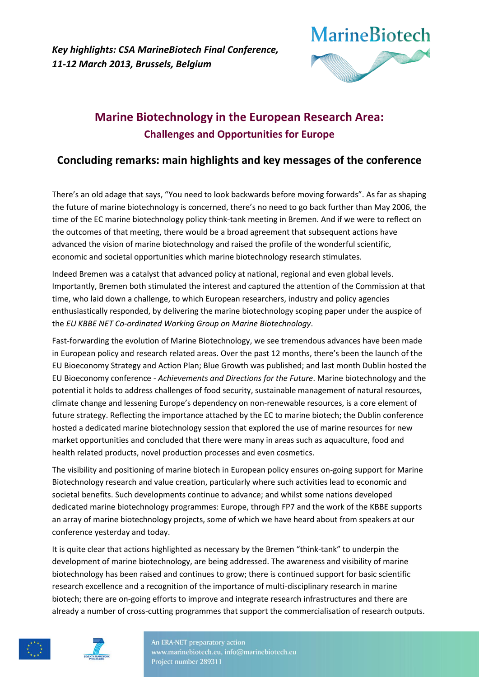

# **Marine Biotechnology in the European Research Area: Challenges and Opportunities for Europe**

# **Concluding remarks: main highlights and key messages of the conference**

There's an old adage that says, "You need to look backwards before moving forwards". As far as shaping the future of marine biotechnology is concerned, there's no need to go back further than May 2006, the time of the EC marine biotechnology policy think-tank meeting in Bremen. And if we were to reflect on the outcomes of that meeting, there would be a broad agreement that subsequent actions have advanced the vision of marine biotechnology and raised the profile of the wonderful scientific, economic and societal opportunities which marine biotechnology research stimulates.

Indeed Bremen was a catalyst that advanced policy at national, regional and even global levels. Importantly, Bremen both stimulated the interest and captured the attention of the Commission at that time, who laid down a challenge, to which European researchers, industry and policy agencies enthusiastically responded, by delivering the marine biotechnology scoping paper under the auspice of the *EU KBBE NET Co-ordinated Working Group on Marine Biotechnology*.

Fast-forwarding the evolution of Marine Biotechnology, we see tremendous advances have been made in European policy and research related areas. Over the past 12 months, there's been the launch of the EU Bioeconomy Strategy and Action Plan; Blue Growth was published; and last month Dublin hosted the EU Bioeconomy conference - *Achievements and Directions for the Future*. Marine biotechnology and the potential it holds to address challenges of food security, sustainable management of natural resources, climate change and lessening Europe's dependency on non-renewable resources, is a core element of future strategy. Reflecting the importance attached by the EC to marine biotech; the Dublin conference hosted a dedicated marine biotechnology session that explored the use of marine resources for new market opportunities and concluded that there were many in areas such as aquaculture, food and health related products, novel production processes and even cosmetics.

The visibility and positioning of marine biotech in European policy ensures on-going support for Marine Biotechnology research and value creation, particularly where such activities lead to economic and societal benefits. Such developments continue to advance; and whilst some nations developed dedicated marine biotechnology programmes: Europe, through FP7 and the work of the KBBE supports an array of marine biotechnology projects, some of which we have heard about from speakers at our conference yesterday and today.

It is quite clear that actions highlighted as necessary by the Bremen "think-tank" to underpin the development of marine biotechnology, are being addressed. The awareness and visibility of marine biotechnology has been raised and continues to grow; there is continued support for basic scientific research excellence and a recognition of the importance of multi-disciplinary research in marine biotech; there are on-going efforts to improve and integrate research infrastructures and there are already a number of cross-cutting programmes that support the commercialisation of research outputs.



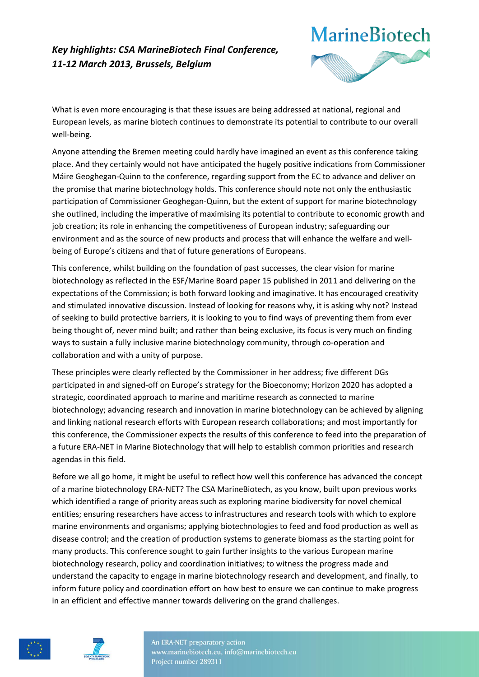

What is even more encouraging is that these issues are being addressed at national, regional and European levels, as marine biotech continues to demonstrate its potential to contribute to our overall well-being.

Anyone attending the Bremen meeting could hardly have imagined an event as this conference taking place. And they certainly would not have anticipated the hugely positive indications from Commissioner Máire Geoghegan-Quinn to the conference, regarding support from the EC to advance and deliver on the promise that marine biotechnology holds. This conference should note not only the enthusiastic participation of Commissioner Geoghegan-Quinn, but the extent of support for marine biotechnology she outlined, including the imperative of maximising its potential to contribute to economic growth and job creation; its role in enhancing the competitiveness of European industry; safeguarding our environment and as the source of new products and process that will enhance the welfare and wellbeing of Europe's citizens and that of future generations of Europeans.

This conference, whilst building on the foundation of past successes, the clear vision for marine biotechnology as reflected in the ESF/Marine Board paper 15 published in 2011 and delivering on the expectations of the Commission; is both forward looking and imaginative. It has encouraged creativity and stimulated innovative discussion. Instead of looking for reasons why, it is asking why not? Instead of seeking to build protective barriers, it is looking to you to find ways of preventing them from ever being thought of, never mind built; and rather than being exclusive, its focus is very much on finding ways to sustain a fully inclusive marine biotechnology community, through co-operation and collaboration and with a unity of purpose.

These principles were clearly reflected by the Commissioner in her address; five different DGs participated in and signed-off on Europe's strategy for the Bioeconomy; Horizon 2020 has adopted a strategic, coordinated approach to marine and maritime research as connected to marine biotechnology; advancing research and innovation in marine biotechnology can be achieved by aligning and linking national research efforts with European research collaborations; and most importantly for this conference, the Commissioner expects the results of this conference to feed into the preparation of a future ERA-NET in Marine Biotechnology that will help to establish common priorities and research agendas in this field.

Before we all go home, it might be useful to reflect how well this conference has advanced the concept of a marine biotechnology ERA-NET? The CSA MarineBiotech, as you know, built upon previous works which identified a range of priority areas such as exploring marine biodiversity for novel chemical entities; ensuring researchers have access to infrastructures and research tools with which to explore marine environments and organisms; applying biotechnologies to feed and food production as well as disease control; and the creation of production systems to generate biomass as the starting point for many products. This conference sought to gain further insights to the various European marine biotechnology research, policy and coordination initiatives; to witness the progress made and understand the capacity to engage in marine biotechnology research and development, and finally, to inform future policy and coordination effort on how best to ensure we can continue to make progress in an efficient and effective manner towards delivering on the grand challenges.



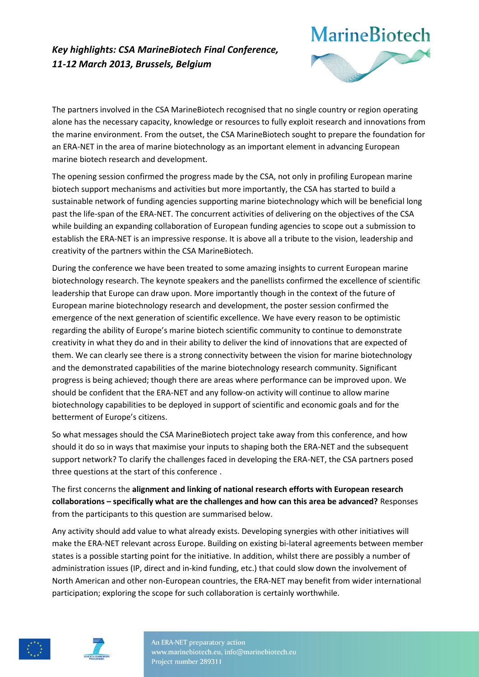

The partners involved in the CSA MarineBiotech recognised that no single country or region operating alone has the necessary capacity, knowledge or resources to fully exploit research and innovations from the marine environment. From the outset, the CSA MarineBiotech sought to prepare the foundation for an ERA-NET in the area of marine biotechnology as an important element in advancing European marine biotech research and development.

The opening session confirmed the progress made by the CSA, not only in profiling European marine biotech support mechanisms and activities but more importantly, the CSA has started to build a sustainable network of funding agencies supporting marine biotechnology which will be beneficial long past the life-span of the ERA-NET. The concurrent activities of delivering on the objectives of the CSA while building an expanding collaboration of European funding agencies to scope out a submission to establish the ERA-NET is an impressive response. It is above all a tribute to the vision, leadership and creativity of the partners within the CSA MarineBiotech.

During the conference we have been treated to some amazing insights to current European marine biotechnology research. The keynote speakers and the panellists confirmed the excellence of scientific leadership that Europe can draw upon. More importantly though in the context of the future of European marine biotechnology research and development, the poster session confirmed the emergence of the next generation of scientific excellence. We have every reason to be optimistic regarding the ability of Europe's marine biotech scientific community to continue to demonstrate creativity in what they do and in their ability to deliver the kind of innovations that are expected of them. We can clearly see there is a strong connectivity between the vision for marine biotechnology and the demonstrated capabilities of the marine biotechnology research community. Significant progress is being achieved; though there are areas where performance can be improved upon. We should be confident that the ERA-NET and any follow-on activity will continue to allow marine biotechnology capabilities to be deployed in support of scientific and economic goals and for the betterment of Europe's citizens.

So what messages should the CSA MarineBiotech project take away from this conference, and how should it do so in ways that maximise your inputs to shaping both the ERA-NET and the subsequent support network? To clarify the challenges faced in developing the ERA-NET, the CSA partners posed three questions at the start of this conference .

The first concerns the **alignment and linking of national research efforts with European research collaborations – specifically what are the challenges and how can this area be advanced?** Responses from the participants to this question are summarised below.

Any activity should add value to what already exists. Developing synergies with other initiatives will make the ERA-NET relevant across Europe. Building on existing bi-lateral agreements between member states is a possible starting point for the initiative. In addition, whilst there are possibly a number of administration issues (IP, direct and in-kind funding, etc.) that could slow down the involvement of North American and other non-European countries, the ERA-NET may benefit from wider international participation; exploring the scope for such collaboration is certainly worthwhile.



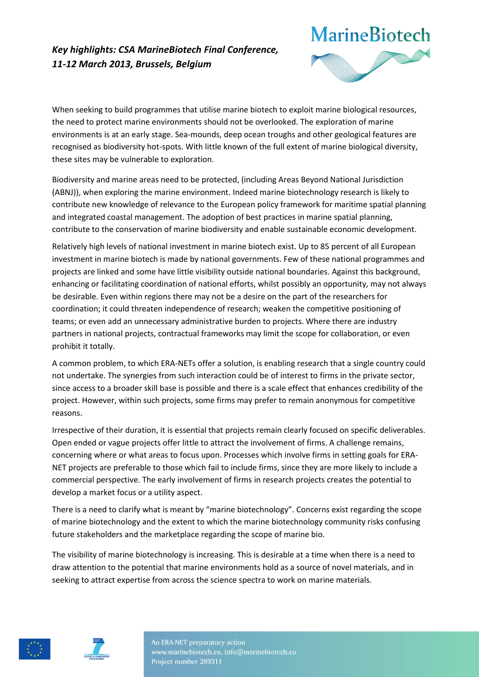

When seeking to build programmes that utilise marine biotech to exploit marine biological resources, the need to protect marine environments should not be overlooked. The exploration of marine environments is at an early stage. Sea-mounds, deep ocean troughs and other geological features are recognised as biodiversity hot-spots. With little known of the full extent of marine biological diversity, these sites may be vulnerable to exploration.

Biodiversity and marine areas need to be protected, (including Areas Beyond National Jurisdiction (ABNJ)), when exploring the marine environment. Indeed marine biotechnology research is likely to contribute new knowledge of relevance to the European policy framework for maritime spatial planning and integrated coastal management. The adoption of best practices in marine spatial planning, contribute to the conservation of marine biodiversity and enable sustainable economic development.

Relatively high levels of national investment in marine biotech exist. Up to 85 percent of all European investment in marine biotech is made by national governments. Few of these national programmes and projects are linked and some have little visibility outside national boundaries. Against this background, enhancing or facilitating coordination of national efforts, whilst possibly an opportunity, may not always be desirable. Even within regions there may not be a desire on the part of the researchers for coordination; it could threaten independence of research; weaken the competitive positioning of teams; or even add an unnecessary administrative burden to projects. Where there are industry partners in national projects, contractual frameworks may limit the scope for collaboration, or even prohibit it totally.

A common problem, to which ERA-NETs offer a solution, is enabling research that a single country could not undertake. The synergies from such interaction could be of interest to firms in the private sector, since access to a broader skill base is possible and there is a scale effect that enhances credibility of the project. However, within such projects, some firms may prefer to remain anonymous for competitive reasons.

Irrespective of their duration, it is essential that projects remain clearly focused on specific deliverables. Open ended or vague projects offer little to attract the involvement of firms. A challenge remains, concerning where or what areas to focus upon. Processes which involve firms in setting goals for ERA-NET projects are preferable to those which fail to include firms, since they are more likely to include a commercial perspective. The early involvement of firms in research projects creates the potential to develop a market focus or a utility aspect.

There is a need to clarify what is meant by "marine biotechnology". Concerns exist regarding the scope of marine biotechnology and the extent to which the marine biotechnology community risks confusing future stakeholders and the marketplace regarding the scope of marine bio.

The visibility of marine biotechnology is increasing. This is desirable at a time when there is a need to draw attention to the potential that marine environments hold as a source of novel materials, and in seeking to attract expertise from across the science spectra to work on marine materials.



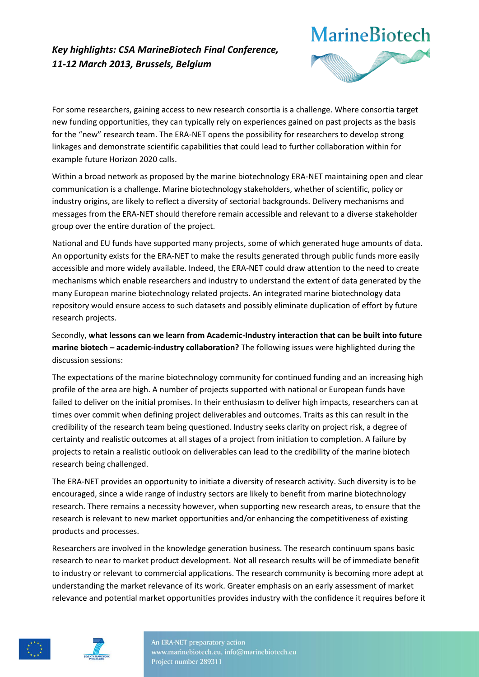

For some researchers, gaining access to new research consortia is a challenge. Where consortia target new funding opportunities, they can typically rely on experiences gained on past projects as the basis for the "new" research team. The ERA-NET opens the possibility for researchers to develop strong linkages and demonstrate scientific capabilities that could lead to further collaboration within for example future Horizon 2020 calls.

Within a broad network as proposed by the marine biotechnology ERA-NET maintaining open and clear communication is a challenge. Marine biotechnology stakeholders, whether of scientific, policy or industry origins, are likely to reflect a diversity of sectorial backgrounds. Delivery mechanisms and messages from the ERA-NET should therefore remain accessible and relevant to a diverse stakeholder group over the entire duration of the project.

National and EU funds have supported many projects, some of which generated huge amounts of data. An opportunity exists for the ERA-NET to make the results generated through public funds more easily accessible and more widely available. Indeed, the ERA-NET could draw attention to the need to create mechanisms which enable researchers and industry to understand the extent of data generated by the many European marine biotechnology related projects. An integrated marine biotechnology data repository would ensure access to such datasets and possibly eliminate duplication of effort by future research projects.

Secondly, **what lessons can we learn from Academic-Industry interaction that can be built into future marine biotech – academic-industry collaboration?** The following issues were highlighted during the discussion sessions:

The expectations of the marine biotechnology community for continued funding and an increasing high profile of the area are high. A number of projects supported with national or European funds have failed to deliver on the initial promises. In their enthusiasm to deliver high impacts, researchers can at times over commit when defining project deliverables and outcomes. Traits as this can result in the credibility of the research team being questioned. Industry seeks clarity on project risk, a degree of certainty and realistic outcomes at all stages of a project from initiation to completion. A failure by projects to retain a realistic outlook on deliverables can lead to the credibility of the marine biotech research being challenged.

The ERA-NET provides an opportunity to initiate a diversity of research activity. Such diversity is to be encouraged, since a wide range of industry sectors are likely to benefit from marine biotechnology research. There remains a necessity however, when supporting new research areas, to ensure that the research is relevant to new market opportunities and/or enhancing the competitiveness of existing products and processes.

Researchers are involved in the knowledge generation business. The research continuum spans basic research to near to market product development. Not all research results will be of immediate benefit to industry or relevant to commercial applications. The research community is becoming more adept at understanding the market relevance of its work. Greater emphasis on an early assessment of market relevance and potential market opportunities provides industry with the confidence it requires before it



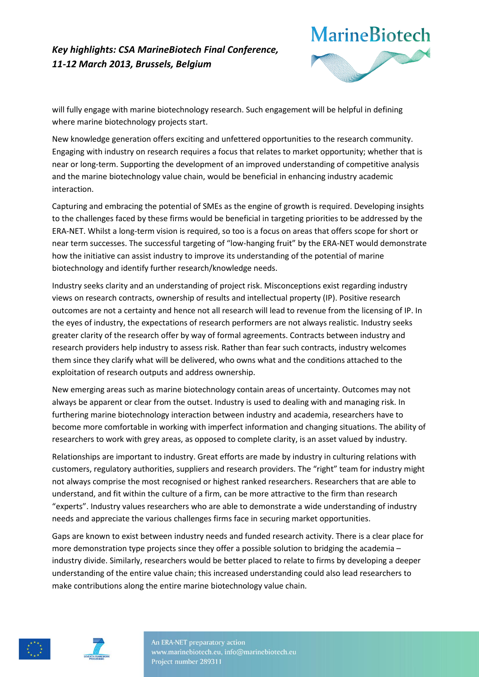

will fully engage with marine biotechnology research. Such engagement will be helpful in defining where marine biotechnology projects start.

New knowledge generation offers exciting and unfettered opportunities to the research community. Engaging with industry on research requires a focus that relates to market opportunity; whether that is near or long-term. Supporting the development of an improved understanding of competitive analysis and the marine biotechnology value chain, would be beneficial in enhancing industry academic interaction.

Capturing and embracing the potential of SMEs as the engine of growth is required. Developing insights to the challenges faced by these firms would be beneficial in targeting priorities to be addressed by the ERA-NET. Whilst a long-term vision is required, so too is a focus on areas that offers scope for short or near term successes. The successful targeting of "low-hanging fruit" by the ERA-NET would demonstrate how the initiative can assist industry to improve its understanding of the potential of marine biotechnology and identify further research/knowledge needs.

Industry seeks clarity and an understanding of project risk. Misconceptions exist regarding industry views on research contracts, ownership of results and intellectual property (IP). Positive research outcomes are not a certainty and hence not all research will lead to revenue from the licensing of IP. In the eyes of industry, the expectations of research performers are not always realistic. Industry seeks greater clarity of the research offer by way of formal agreements. Contracts between industry and research providers help industry to assess risk. Rather than fear such contracts, industry welcomes them since they clarify what will be delivered, who owns what and the conditions attached to the exploitation of research outputs and address ownership.

New emerging areas such as marine biotechnology contain areas of uncertainty. Outcomes may not always be apparent or clear from the outset. Industry is used to dealing with and managing risk. In furthering marine biotechnology interaction between industry and academia, researchers have to become more comfortable in working with imperfect information and changing situations. The ability of researchers to work with grey areas, as opposed to complete clarity, is an asset valued by industry.

Relationships are important to industry. Great efforts are made by industry in culturing relations with customers, regulatory authorities, suppliers and research providers. The "right" team for industry might not always comprise the most recognised or highest ranked researchers. Researchers that are able to understand, and fit within the culture of a firm, can be more attractive to the firm than research "experts". Industry values researchers who are able to demonstrate a wide understanding of industry needs and appreciate the various challenges firms face in securing market opportunities.

Gaps are known to exist between industry needs and funded research activity. There is a clear place for more demonstration type projects since they offer a possible solution to bridging the academia – industry divide. Similarly, researchers would be better placed to relate to firms by developing a deeper understanding of the entire value chain; this increased understanding could also lead researchers to make contributions along the entire marine biotechnology value chain.



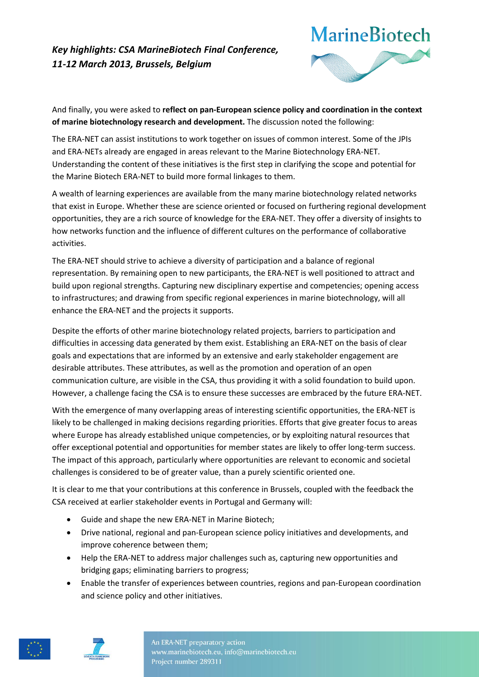

And finally, you were asked to **reflect on pan-European science policy and coordination in the context of marine biotechnology research and development.** The discussion noted the following:

The ERA-NET can assist institutions to work together on issues of common interest. Some of the JPIs and ERA-NETs already are engaged in areas relevant to the Marine Biotechnology ERA-NET. Understanding the content of these initiatives is the first step in clarifying the scope and potential for the Marine Biotech ERA-NET to build more formal linkages to them.

A wealth of learning experiences are available from the many marine biotechnology related networks that exist in Europe. Whether these are science oriented or focused on furthering regional development opportunities, they are a rich source of knowledge for the ERA-NET. They offer a diversity of insights to how networks function and the influence of different cultures on the performance of collaborative activities.

The ERA-NET should strive to achieve a diversity of participation and a balance of regional representation. By remaining open to new participants, the ERA-NET is well positioned to attract and build upon regional strengths. Capturing new disciplinary expertise and competencies; opening access to infrastructures; and drawing from specific regional experiences in marine biotechnology, will all enhance the ERA-NET and the projects it supports.

Despite the efforts of other marine biotechnology related projects, barriers to participation and difficulties in accessing data generated by them exist. Establishing an ERA-NET on the basis of clear goals and expectations that are informed by an extensive and early stakeholder engagement are desirable attributes. These attributes, as well as the promotion and operation of an open communication culture, are visible in the CSA, thus providing it with a solid foundation to build upon. However, a challenge facing the CSA is to ensure these successes are embraced by the future ERA-NET.

With the emergence of many overlapping areas of interesting scientific opportunities, the ERA-NET is likely to be challenged in making decisions regarding priorities. Efforts that give greater focus to areas where Europe has already established unique competencies, or by exploiting natural resources that offer exceptional potential and opportunities for member states are likely to offer long-term success. The impact of this approach, particularly where opportunities are relevant to economic and societal challenges is considered to be of greater value, than a purely scientific oriented one.

It is clear to me that your contributions at this conference in Brussels, coupled with the feedback the CSA received at earlier stakeholder events in Portugal and Germany will:

- Guide and shape the new ERA‐NET in Marine Biotech;
- Drive national, regional and pan‐European science policy initiatives and developments, and improve coherence between them;
- Help the ERA-NET to address major challenges such as, capturing new opportunities and bridging gaps; eliminating barriers to progress;
- Enable the transfer of experiences between countries, regions and pan‐European coordination and science policy and other initiatives.